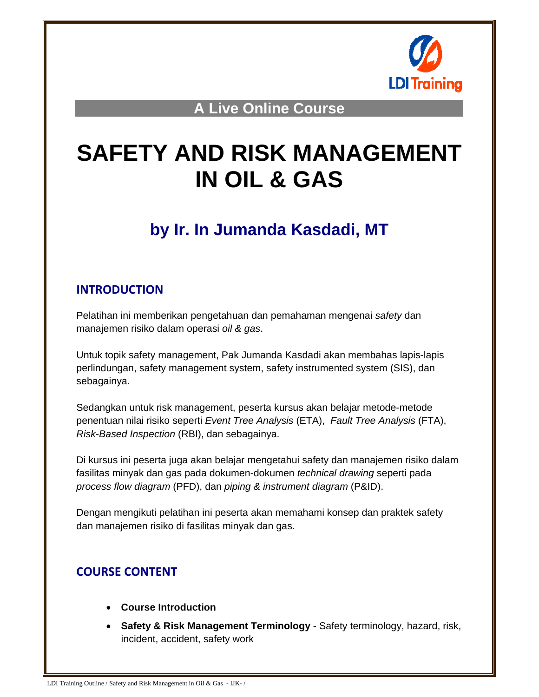

**A Live Online Course** 

# **SAFETY AND RISK MANAGEMENT IN OIL & GAS**

# **by Ir. In Jumanda Kasdadi, MT**

## **INTRODUCTION**

Pelatihan ini memberikan pengetahuan dan pemahaman mengenai *safety* dan manajemen risiko dalam operasi *oil & gas*.

Untuk topik safety management, Pak Jumanda Kasdadi akan membahas lapis-lapis perlindungan, safety management system, safety instrumented system (SIS), dan sebagainya.

Sedangkan untuk risk management, peserta kursus akan belajar metode-metode penentuan nilai risiko seperti *Event Tree Analysis* (ETA), *Fault Tree Analysis* (FTA), *Risk-Based Inspection* (RBI), dan sebagainya.

Di kursus ini peserta juga akan belajar mengetahui safety dan manajemen risiko dalam fasilitas minyak dan gas pada dokumen-dokumen *technical drawing* seperti pada *process flow diagram* (PFD), dan *piping & instrument diagram* (P&ID).

Dengan mengikuti pelatihan ini peserta akan memahami konsep dan praktek safety dan manajemen risiko di fasilitas minyak dan gas.

# **COURSE CONTENT**

- **Course Introduction**
- **Safety & Risk Management Terminology** Safety terminology, hazard, risk, incident, accident, safety work

LDI Training Outline / Safety and Risk Management in Oil & Gas - IJK- /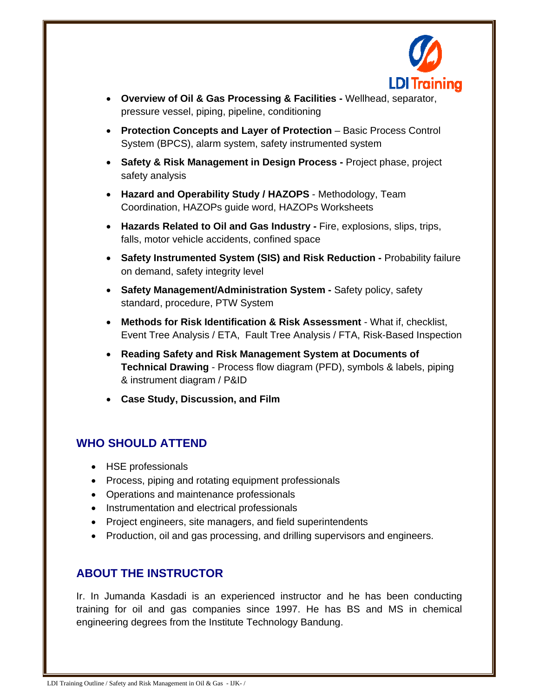

- **Overview of Oil & Gas Processing & Facilities** Wellhead, separator, pressure vessel, piping, pipeline, conditioning
- **Protection Concepts and Layer of Protection** Basic Process Control System (BPCS), alarm system, safety instrumented system
- **Safety & Risk Management in Design Process** Project phase, project safety analysis
- **Hazard and Operability Study / HAZOPS** Methodology, Team Coordination, HAZOPs guide word, HAZOPs Worksheets
- **Hazards Related to Oil and Gas Industry Fire, explosions, slips, trips,** falls, motor vehicle accidents, confined space
- **Safety Instrumented System (SIS) and Risk Reduction Probability failure** on demand, safety integrity level
- **Safety Management/Administration System** Safety policy, safety standard, procedure, PTW System
- **Methods for Risk Identification & Risk Assessment** What if, checklist, Event Tree Analysis / ETA, Fault Tree Analysis / FTA, Risk-Based Inspection
- **Reading Safety and Risk Management System at Documents of Technical Drawing** - Process flow diagram (PFD), symbols & labels, piping & instrument diagram / P&ID
- **Case Study, Discussion, and Film**

#### **WHO SHOULD ATTEND**

- HSE professionals
- Process, piping and rotating equipment professionals
- Operations and maintenance professionals
- Instrumentation and electrical professionals
- Project engineers, site managers, and field superintendents
- Production, oil and gas processing, and drilling supervisors and engineers.

#### **ABOUT THE INSTRUCTOR**

Ir. In Jumanda Kasdadi is an experienced instructor and he has been conducting training for oil and gas companies since 1997. He has BS and MS in chemical engineering degrees from the Institute Technology Bandung.